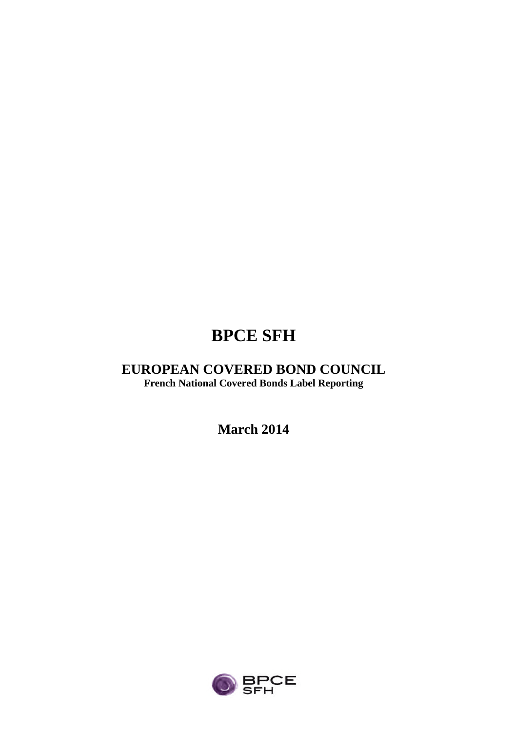# **BPCE SFH**

## **EUROPEAN COVERED BOND COUNCIL French National Covered Bonds Label Reporting**

**March 2014**

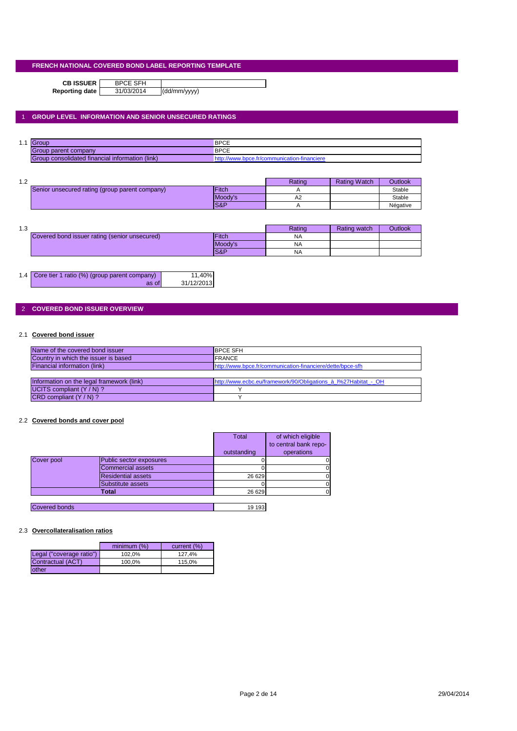**CB ISSUER** BPCE SFH<br>porting date 31/03/2014

**Reporting date** 31/03/2014 (dd/mm/yyyy)

## 1 **GROUP LEVEL INFORMATION AND SENIOR UNSECURED RATINGS**

| 4 A<br>. | $\overline{c}$<br><u>ouve</u>                                 | <b>BPCE</b>          |
|----------|---------------------------------------------------------------|----------------------|
|          | Group parent company                                          | <b>BPCE</b>          |
|          | $(\mathsf{link})$<br>Group consolidated financial information | anciere<br>oce.tr/co |

| 1 ^<br>ے ، |                                                |                 | Rating | <b>Rating Watch</b> | <b>Outlook</b> |
|------------|------------------------------------------------|-----------------|--------|---------------------|----------------|
|            | Senior unsecured rating (group parent company) | <b>IFitch</b>   |        |                     | Stable         |
|            |                                                | Moody's         | A2     |                     | Stable         |
|            |                                                | <b>IS&amp;P</b> |        |                     | Négative       |

| 12<br>ن ۱۰ |                                               |                 | Rating    | Rating watch | Outlook |
|------------|-----------------------------------------------|-----------------|-----------|--------------|---------|
|            | Covered bond issuer rating (senior unsecured) | <b>IFitch</b>   | <b>NA</b> |              |         |
|            |                                               | Moody's         | <b>NA</b> |              |         |
|            |                                               | <b>IS&amp;P</b> | <b>NA</b> |              |         |

| 1.4 Core tier 1 ratio (%) (group parent company) | 11,40%     |
|--------------------------------------------------|------------|
| as of                                            | 31/12/2013 |

## 2 **COVERED BOND ISSUER OVERVIEW**

## 2.1 **Covered bond issuer**

| Name of the covered bond issuer           | <b>IBPCE SFH</b>                                               |
|-------------------------------------------|----------------------------------------------------------------|
| Country in which the issuer is based      | <b>FRANCE</b>                                                  |
| Financial information (link)              | http://www.bpce.fr/communication-financiere/dette/bpce-sfh     |
|                                           |                                                                |
| Information on the legal framework (link) | http://www.ecbc.eu/framework/90/Obligations à l%27Habitat - OH |
| UCITS compliant $(Y/N)$ ?                 |                                                                |
| $CRD$ compliant $(Y/N)$ ?                 |                                                                |

#### 2.2 **Covered bonds and cover pool**

|                      |                           | <b>Total</b> | of which eligible     |
|----------------------|---------------------------|--------------|-----------------------|
|                      |                           |              | to central bank repo- |
|                      |                           | outstanding  | operations            |
| Cover pool           | Public sector exposures   |              |                       |
|                      | Commercial assets         |              |                       |
|                      | <b>Residential assets</b> | 26 629       |                       |
|                      | Substitute assets         |              |                       |
|                      | Total                     | 26 6 29      |                       |
|                      |                           |              |                       |
| <b>Covered bonds</b> |                           | 19 193       |                       |

## 2.3 **Overcollateralisation ratios**

|                          | minimum (%) | current (%) |
|--------------------------|-------------|-------------|
| Legal ("coverage ratio") | 102.0%      | 127.4%      |
| Contractual (ACT)        | 100.0%      | 115.0%      |
| other                    |             |             |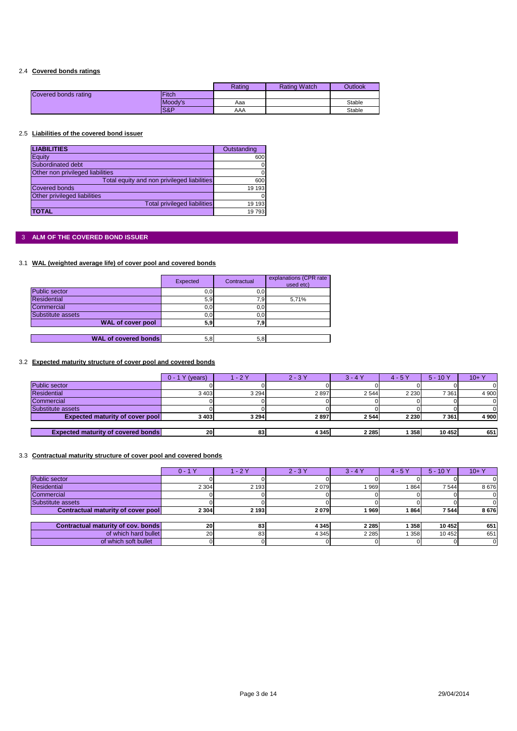## 2.4 **Covered bonds ratings**

|                      |              | Rating | <b>Rating Watch</b> | Outlook |
|----------------------|--------------|--------|---------------------|---------|
| Covered bonds rating | <b>Fitch</b> |        |                     |         |
|                      | Moody's      | Aaa    |                     | Stable  |
|                      | S&P          | AAA    |                     | Stable  |

#### 2.5 **Liabilities of the covered bond issuer**

| <b>LIABILITIES</b>                          | Outstanding |
|---------------------------------------------|-------------|
| Equity                                      | 600         |
| Subordinated debt                           | 0           |
| Other non privileged liabilities            |             |
| Total equity and non privileged liabilities | 600         |
| <b>Covered bonds</b>                        | 19 193      |
| Other privileged liabilities                |             |
| <b>Total privileged liabilities</b>         | 19 193      |
| <b>TOTAL</b>                                | 19793       |

## 3 **ALM OF THE COVERED BOND ISSUER**

## 3.1 **WAL (weighted average life) of cover pool and covered bonds**

|                             | Expected | Contractual | explanations (CPR rate)<br>used etc) |
|-----------------------------|----------|-------------|--------------------------------------|
| Public sector               | 0, 0     | 0,0         |                                      |
| <b>Residential</b>          | 5,9      | 7,9         | 5.71%                                |
| Commercial                  | 0, 0     | 0,0         |                                      |
| Substitute assets           | 0, 0     | 0,0         |                                      |
| <b>WAL of cover pool</b>    | 5,9      | 7.9         |                                      |
|                             |          |             |                                      |
| <b>WAL of covered bonds</b> | 5,8      | 5,8         |                                      |

## 3.2 **Expected maturity structure of cover pool and covered bonds**

|                                           | (years)<br>$0 - 1Y$ | /- 2 Y  | $2 - 3Y$ | $3 - 4$ | $4 - 5Y$ | $5 - 10Y$ | $10 + Y$ |
|-------------------------------------------|---------------------|---------|----------|---------|----------|-----------|----------|
| <b>Public sector</b>                      |                     |         |          |         |          |           |          |
| <b>Residential</b>                        | 3 4 0 3             | 3 2 9 4 | 2897     | 2 5 4 4 | 2 2 3 0  | 7 3 6 1   | 4 9 0 0  |
| Commercial                                |                     |         |          |         |          |           |          |
| Substitute assets                         |                     |         |          |         |          |           |          |
| <b>Expected maturity of cover pool</b>    | 3 4 0 3             | 3 2 9 4 | 2897     | 2 5 4 4 | 2 2 3 0  | 7361      | 4 900    |
|                                           |                     |         |          |         |          |           |          |
| <b>Expected maturity of covered bonds</b> | 20                  | 83      | 4 3 4 5  | 2 2 8 5 | 358      | 10 452    | 651      |

#### 3.3 **Contractual maturity structure of cover pool and covered bonds**

|                                    | $0 - 1Y$  | $-2Y$   | $2 - 3Y$ | $3 - 4Y$ | $4 - 5Y$ | $5 - 10Y$ | $10+Y$ |
|------------------------------------|-----------|---------|----------|----------|----------|-----------|--------|
| <b>Public sector</b>               |           |         |          |          |          |           |        |
| <b>Residential</b>                 | 2 3 0 4   | 2 1 9 3 | 2079     | 969      | 864      | 7544      | 8676   |
| Commercial                         |           |         |          |          |          |           |        |
| Substitute assets                  |           |         |          |          |          |           |        |
| Contractual maturity of cover pool | 2 3 0 4   | 2 1 9 3 | 2079     | 969      | 864      | 7 5 4 4   | 8676   |
|                                    |           |         |          |          |          |           |        |
| Contractual maturity of cov. bonds | <b>20</b> | 83      | 4 3 4 5  | 2 2 8 5  | 358      | 10 452    | 651    |
| of which hard bullet               | <b>20</b> | 83      | 4 3 4 5  | 2 2 8 5  | 358      | 10 452    | 651    |
| of which soft bullet               |           |         |          |          |          |           |        |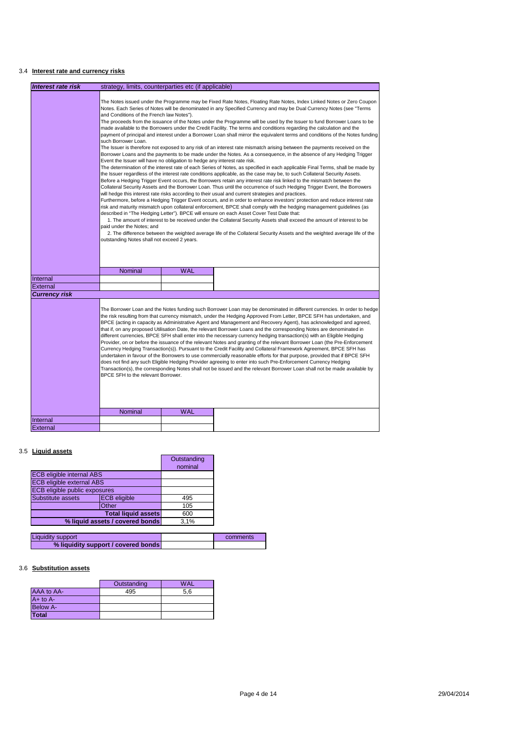## 3.4 **Interest rate and currency risks**

| <b>Interest rate risk</b> | strategy, limits, counterparties etc (if applicable)                                                                                                                                                                                                                                                                                                                                                                                                                                                                                                                                                                                                                                                                                                                                                                                                                                                                                                                                                                                                                                                                                                                                                                                                                                                                                                                                                                                                                                                                                                                                                                                                                                                                                                                                                                                                                                                                                                                                                                                                                                                                                                                                                                                                                                                                                                   |            |                                                                                                                                                                                                                                                                                                                                                                                                                                                                                                                                                                                                                                                                                                                                                                                                                                                                                                                                                                                                                                                                                                                                                                                                                                                       |  |
|---------------------------|--------------------------------------------------------------------------------------------------------------------------------------------------------------------------------------------------------------------------------------------------------------------------------------------------------------------------------------------------------------------------------------------------------------------------------------------------------------------------------------------------------------------------------------------------------------------------------------------------------------------------------------------------------------------------------------------------------------------------------------------------------------------------------------------------------------------------------------------------------------------------------------------------------------------------------------------------------------------------------------------------------------------------------------------------------------------------------------------------------------------------------------------------------------------------------------------------------------------------------------------------------------------------------------------------------------------------------------------------------------------------------------------------------------------------------------------------------------------------------------------------------------------------------------------------------------------------------------------------------------------------------------------------------------------------------------------------------------------------------------------------------------------------------------------------------------------------------------------------------------------------------------------------------------------------------------------------------------------------------------------------------------------------------------------------------------------------------------------------------------------------------------------------------------------------------------------------------------------------------------------------------------------------------------------------------------------------------------------------------|------------|-------------------------------------------------------------------------------------------------------------------------------------------------------------------------------------------------------------------------------------------------------------------------------------------------------------------------------------------------------------------------------------------------------------------------------------------------------------------------------------------------------------------------------------------------------------------------------------------------------------------------------------------------------------------------------------------------------------------------------------------------------------------------------------------------------------------------------------------------------------------------------------------------------------------------------------------------------------------------------------------------------------------------------------------------------------------------------------------------------------------------------------------------------------------------------------------------------------------------------------------------------|--|
|                           |                                                                                                                                                                                                                                                                                                                                                                                                                                                                                                                                                                                                                                                                                                                                                                                                                                                                                                                                                                                                                                                                                                                                                                                                                                                                                                                                                                                                                                                                                                                                                                                                                                                                                                                                                                                                                                                                                                                                                                                                                                                                                                                                                                                                                                                                                                                                                        |            |                                                                                                                                                                                                                                                                                                                                                                                                                                                                                                                                                                                                                                                                                                                                                                                                                                                                                                                                                                                                                                                                                                                                                                                                                                                       |  |
|                           | The Notes issued under the Programme may be Fixed Rate Notes, Floating Rate Notes, Index Linked Notes or Zero Coupon<br>Notes. Each Series of Notes will be denominated in any Specified Currency and may be Dual Currency Notes (see "Terms<br>and Conditions of the French law Notes").<br>The proceeds from the issuance of the Notes under the Programme will be used by the Issuer to fund Borrower Loans to be<br>made available to the Borrowers under the Credit Facility. The terms and conditions regarding the calculation and the<br>payment of principal and interest under a Borrower Loan shall mirror the equivalent terms and conditions of the Notes funding<br>such Borrower Loan.<br>The Issuer is therefore not exposed to any risk of an interest rate mismatch arising between the payments received on the<br>Borrower Loans and the payments to be made under the Notes. As a consequence, in the absence of any Hedging Trigger<br>Event the Issuer will have no obligation to hedge any interest rate risk.<br>The determination of the interest rate of each Series of Notes, as specified in each applicable Final Terms, shall be made by<br>the Issuer regardless of the interest rate conditions applicable, as the case may be, to such Collateral Security Assets.<br>Before a Hedging Trigger Event occurs, the Borrowers retain any interest rate risk linked to the mismatch between the<br>Collateral Security Assets and the Borrower Loan. Thus until the occurrence of such Hedging Trigger Event, the Borrowers<br>will hedge this interest rate risks according to their usual and current strategies and practices.<br>Furthermore, before a Hedging Trigger Event occurs, and in order to enhance investors' protection and reduce interest rate<br>risk and maturity mismatch upon collateral enforcement, BPCE shall comply with the hedging management guidelines (as<br>described in "The Hedging Letter"). BPCE will ensure on each Asset Cover Test Date that:<br>1. The amount of interest to be received under the Collateral Security Assets shall exceed the amount of interest to be<br>paid under the Notes: and<br>2. The difference between the weighted average life of the Collateral Security Assets and the weighted average life of the<br>outstanding Notes shall not exceed 2 years. |            |                                                                                                                                                                                                                                                                                                                                                                                                                                                                                                                                                                                                                                                                                                                                                                                                                                                                                                                                                                                                                                                                                                                                                                                                                                                       |  |
|                           | <b>Nominal</b>                                                                                                                                                                                                                                                                                                                                                                                                                                                                                                                                                                                                                                                                                                                                                                                                                                                                                                                                                                                                                                                                                                                                                                                                                                                                                                                                                                                                                                                                                                                                                                                                                                                                                                                                                                                                                                                                                                                                                                                                                                                                                                                                                                                                                                                                                                                                         | <b>WAL</b> |                                                                                                                                                                                                                                                                                                                                                                                                                                                                                                                                                                                                                                                                                                                                                                                                                                                                                                                                                                                                                                                                                                                                                                                                                                                       |  |
| Internal                  |                                                                                                                                                                                                                                                                                                                                                                                                                                                                                                                                                                                                                                                                                                                                                                                                                                                                                                                                                                                                                                                                                                                                                                                                                                                                                                                                                                                                                                                                                                                                                                                                                                                                                                                                                                                                                                                                                                                                                                                                                                                                                                                                                                                                                                                                                                                                                        |            |                                                                                                                                                                                                                                                                                                                                                                                                                                                                                                                                                                                                                                                                                                                                                                                                                                                                                                                                                                                                                                                                                                                                                                                                                                                       |  |
| External                  |                                                                                                                                                                                                                                                                                                                                                                                                                                                                                                                                                                                                                                                                                                                                                                                                                                                                                                                                                                                                                                                                                                                                                                                                                                                                                                                                                                                                                                                                                                                                                                                                                                                                                                                                                                                                                                                                                                                                                                                                                                                                                                                                                                                                                                                                                                                                                        |            |                                                                                                                                                                                                                                                                                                                                                                                                                                                                                                                                                                                                                                                                                                                                                                                                                                                                                                                                                                                                                                                                                                                                                                                                                                                       |  |
| Currency risk             |                                                                                                                                                                                                                                                                                                                                                                                                                                                                                                                                                                                                                                                                                                                                                                                                                                                                                                                                                                                                                                                                                                                                                                                                                                                                                                                                                                                                                                                                                                                                                                                                                                                                                                                                                                                                                                                                                                                                                                                                                                                                                                                                                                                                                                                                                                                                                        |            |                                                                                                                                                                                                                                                                                                                                                                                                                                                                                                                                                                                                                                                                                                                                                                                                                                                                                                                                                                                                                                                                                                                                                                                                                                                       |  |
|                           | BPCE SFH to the relevant Borrower.                                                                                                                                                                                                                                                                                                                                                                                                                                                                                                                                                                                                                                                                                                                                                                                                                                                                                                                                                                                                                                                                                                                                                                                                                                                                                                                                                                                                                                                                                                                                                                                                                                                                                                                                                                                                                                                                                                                                                                                                                                                                                                                                                                                                                                                                                                                     |            | The Borrower Loan and the Notes funding such Borrower Loan may be denominated in different currencies. In order to hedge<br>the risk resulting from that currency mismatch, under the Hedging Approved From Letter, BPCE SFH has undertaken, and<br>BPCE (acting in capacity as Administrative Agent and Management and Recovery Agent), has acknowledged and agreed,<br>that if, on any proposed Utilisation Date, the relevant Borrower Loans and the corresponding Notes are denominated in<br>different currencies, BPCE SFH shall enter into the necessary currency hedging transaction(s) with an Eligible Hedging<br>Provider, on or before the issuance of the relevant Notes and granting of the relevant Borrower Loan (the Pre-Enforcement<br>Currency Hedging Transaction(s)). Pursuant to the Credit Facility and Collateral Framework Agreement, BPCE SFH has<br>undertaken in favour of the Borrowers to use commercially reasonable efforts for that purpose, provided that if BPCE SFH<br>does not find any such Eligible Hedging Provider agreeing to enter into such Pre-Enforcement Currency Hedging<br>Transaction(s), the corresponding Notes shall not be issued and the relevant Borrower Loan shall not be made available by |  |
|                           | Nominal                                                                                                                                                                                                                                                                                                                                                                                                                                                                                                                                                                                                                                                                                                                                                                                                                                                                                                                                                                                                                                                                                                                                                                                                                                                                                                                                                                                                                                                                                                                                                                                                                                                                                                                                                                                                                                                                                                                                                                                                                                                                                                                                                                                                                                                                                                                                                | <b>WAL</b> |                                                                                                                                                                                                                                                                                                                                                                                                                                                                                                                                                                                                                                                                                                                                                                                                                                                                                                                                                                                                                                                                                                                                                                                                                                                       |  |
| Internal                  |                                                                                                                                                                                                                                                                                                                                                                                                                                                                                                                                                                                                                                                                                                                                                                                                                                                                                                                                                                                                                                                                                                                                                                                                                                                                                                                                                                                                                                                                                                                                                                                                                                                                                                                                                                                                                                                                                                                                                                                                                                                                                                                                                                                                                                                                                                                                                        |            |                                                                                                                                                                                                                                                                                                                                                                                                                                                                                                                                                                                                                                                                                                                                                                                                                                                                                                                                                                                                                                                                                                                                                                                                                                                       |  |
| External                  |                                                                                                                                                                                                                                                                                                                                                                                                                                                                                                                                                                                                                                                                                                                                                                                                                                                                                                                                                                                                                                                                                                                                                                                                                                                                                                                                                                                                                                                                                                                                                                                                                                                                                                                                                                                                                                                                                                                                                                                                                                                                                                                                                                                                                                                                                                                                                        |            |                                                                                                                                                                                                                                                                                                                                                                                                                                                                                                                                                                                                                                                                                                                                                                                                                                                                                                                                                                                                                                                                                                                                                                                                                                                       |  |

## 3.5 **Liquid assets**

|                                  |                     | Outstanding |
|----------------------------------|---------------------|-------------|
|                                  |                     | nominal     |
| <b>ECB eligible internal ABS</b> |                     |             |
| <b>ECB eligible external ABS</b> |                     |             |
| ECB eligible public exposures    |                     |             |
| Substitute assets                | <b>ECB</b> eligible | 495         |
| Other                            |                     | 105         |
| <b>Total liquid assets</b>       |                     | 600         |
| % liquid assets / covered bonds  |                     | 3,1%        |

| <b>Liquidity support</b>            | comments |
|-------------------------------------|----------|
| % liquidity support / covered bonds |          |

## 3.6 **Substitution assets**

|                 | Outstanding | <b>WAL</b> |
|-----------------|-------------|------------|
| AAA to AA-      | 495         | 5.6        |
| $A+$ to $A-$    |             |            |
| <b>Below A-</b> |             |            |
| <b>Total</b>    |             |            |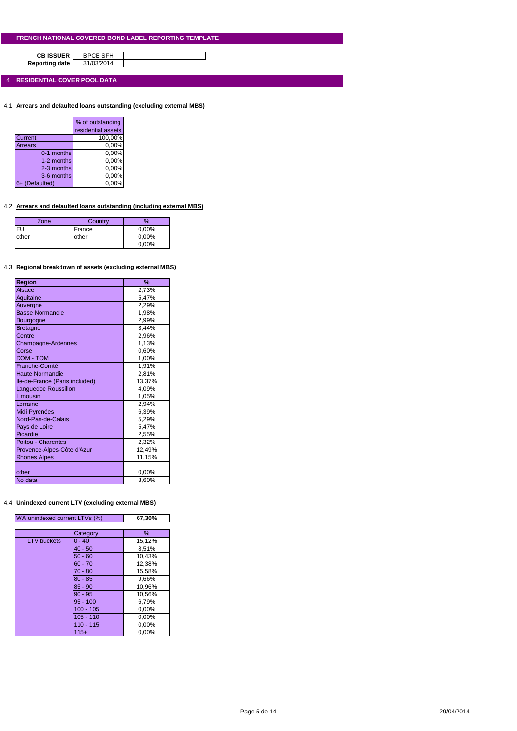**CB ISSUER** BPCE SFH<br>porting date 31/03/2014 **Reporting date** 

4 **RESIDENTIAL COVER POOL DATA**

4.1 **Arrears and defaulted loans outstanding (excluding external MBS)**

|                | % of outstanding   |
|----------------|--------------------|
|                | residential assets |
| Current        | 100,00%            |
| Arrears        | 0,00%              |
| 0-1 months     | 0,00%              |
| 1-2 months     | 0,00%              |
| 2-3 months     | 0,00%              |
| 3-6 months     | 0,00%              |
| 6+ (Defaulted) | 0.00%              |

## 4.2 **Arrears and defaulted loans outstanding (including external MBS)**

| Zone. | Country | %        |
|-------|---------|----------|
| EU    | France  | 0,00%    |
| other | other   | $0.00\%$ |
|       |         | 0,00%    |

#### 4.3 **Regional breakdown of assets (excluding external MBS)**

| Region                         | %      |
|--------------------------------|--------|
| <b>Alsace</b>                  | 2,73%  |
| Aquitaine                      | 5,47%  |
| Auvergne                       | 2,29%  |
| <b>Basse Normandie</b>         | 1,98%  |
| <b>Bourgogne</b>               | 2,99%  |
| <b>Bretagne</b>                | 3,44%  |
| Centre                         | 2,96%  |
| Champagne-Ardennes             | 1,13%  |
| Corse                          | 0,60%  |
| <b>DOM - TOM</b>               | 1,00%  |
| Franche-Comté                  | 1,91%  |
| <b>Haute Normandie</b>         | 2,81%  |
| Ile-de-France (Paris included) | 13,37% |
| Languedoc Roussillon           | 4,09%  |
| Limousin                       | 1,05%  |
| Lorraine                       | 2,94%  |
| Midi Pyrenées                  | 6,39%  |
| Nord-Pas-de-Calais             | 5,29%  |
| Pays de Loire                  | 5,47%  |
| Picardie                       | 2,55%  |
| Poitou - Charentes             | 2,32%  |
| Provence-Alpes-Côte d'Azur     | 12,49% |
| <b>Rhones Alpes</b>            | 11,15% |
|                                |        |
| other                          | 0,00%  |
| No data                        | 3,60%  |

## 4.4 **Unindexed current LTV (excluding external MBS)**

| WA unindexed current LTVs (%) |             | 67,30% |
|-------------------------------|-------------|--------|
|                               | Category    | %      |
| <b>LTV</b> buckets            | $0 - 40$    | 15,12% |
|                               | $40 - 50$   | 8,51%  |
|                               | $50 - 60$   | 10,43% |
|                               | $60 - 70$   | 12,38% |
|                               | $70 - 80$   | 15,58% |
|                               | $80 - 85$   | 9,66%  |
|                               | $85 - 90$   | 10,96% |
|                               | $90 - 95$   | 10,56% |
|                               | $95 - 100$  | 6,79%  |
|                               | $100 - 105$ | 0,00%  |
|                               | $105 - 110$ | 0,00%  |
|                               | $110 - 115$ | 0,00%  |
|                               | $115+$      | 0.00%  |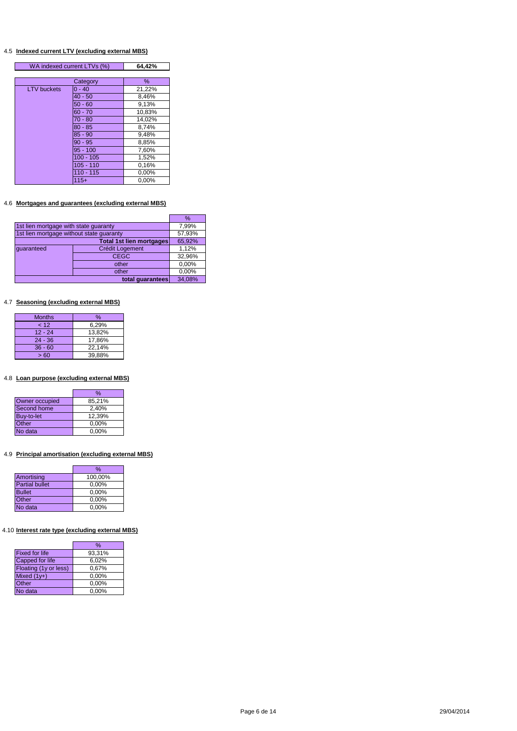#### 4.5 **Indexed current LTV (excluding external MBS)**

| WA indexed current LTVs (%) |             | 64,42% |
|-----------------------------|-------------|--------|
|                             |             |        |
|                             | Category    | ℅      |
| <b>LTV</b> buckets          | $0 - 40$    | 21,22% |
|                             | $40 - 50$   | 8,46%  |
|                             | $50 - 60$   | 9,13%  |
|                             | $60 - 70$   | 10,83% |
|                             | $70 - 80$   | 14,02% |
|                             | $80 - 85$   | 8,74%  |
|                             | $85 - 90$   | 9,48%  |
|                             | $90 - 95$   | 8,85%  |
|                             | $95 - 100$  | 7,60%  |
|                             | $100 - 105$ | 1,52%  |
|                             | $105 - 110$ | 0.16%  |
|                             | $110 - 115$ | 0,00%  |
|                             | $115+$      | 0,00%  |

## 4.6 **Mortgages and guarantees (excluding external MBS)**

|                                          |                          | $\%$   |
|------------------------------------------|--------------------------|--------|
| 1st lien mortgage with state guaranty    | 7,99%                    |        |
| 1st lien mortgage without state guaranty |                          | 57,93% |
|                                          | Total 1st lien mortgages | 65,92% |
| quaranteed                               | <b>Crédit Logement</b>   | 1,12%  |
|                                          | <b>CEGC</b>              | 32,96% |
|                                          | other                    | 0,00%  |
| other                                    |                          | 0,00%  |
|                                          | total quarantees         | 34.08% |

## 4.7 **Seasoning (excluding external MBS)**

| <b>Months</b> | %      |
|---------------|--------|
| 12            | 6,29%  |
| $12 - 24$     | 13,82% |
| $24 - 36$     | 17.86% |
| $36 - 60$     | 22.14% |
| >60           | 39.88% |

## 4.8 **Loan purpose (excluding external MBS)**

|                | %        |
|----------------|----------|
| Owner occupied | 85,21%   |
| Second home    | 2,40%    |
| Buy-to-let     | 12,39%   |
| Other          | 0,00%    |
| No data        | $0.00\%$ |

## 4.9 **Principal amortisation (excluding external MBS)**

| %       |
|---------|
| 100,00% |
| 0,00%   |
| 0,00%   |
| 0,00%   |
| 0,00%   |
|         |

## 4.10 **Interest rate type (excluding external MBS)**

|                       | %      |
|-----------------------|--------|
| <b>Fixed for life</b> | 93,31% |
| Capped for life       | 6,02%  |
| Floating (1y or less) | 0,67%  |
| Mixed $(1y+)$         | 0.00%  |
| Other                 | 0,00%  |
| No data               | 0,00%  |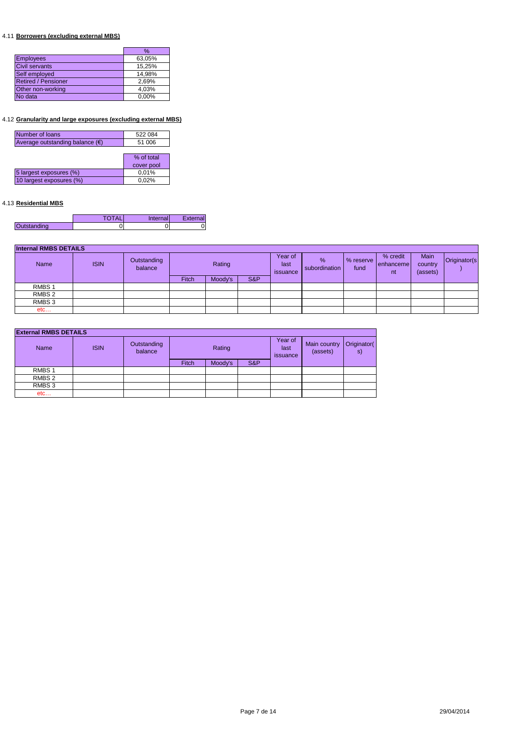## 4.11 **Borrowers (excluding external MBS)**

|                            | $\%$   |
|----------------------------|--------|
| <b>Employees</b>           | 63,05% |
| <b>Civil servants</b>      | 15,25% |
| Self employed              | 14,98% |
| <b>Retired / Pensioner</b> | 2,69%  |
| Other non-working          | 4,03%  |
| No data                    | 0.00%  |

## 4.12 **Granularity and large exposures (excluding external MBS)**

| Number of loans                          | 522 084    |
|------------------------------------------|------------|
| Average outstanding balance $(\epsilon)$ | 51 006     |
|                                          |            |
|                                          | % of total |
|                                          | cover pool |
| 5 largest exposures (%)                  | 0,01%      |
| 10 largest exposures (%)                 | 0,02%      |
|                                          |            |

## 4.13 **Residential MBS**

|             | <b>TOTAL</b> | Internal | External |
|-------------|--------------|----------|----------|
| Outstanding |              |          |          |

| <b>Internal RMBS DETAILS</b> |             |                        |              |         |     |                             |                       |                   |                             |                             |              |
|------------------------------|-------------|------------------------|--------------|---------|-----|-----------------------------|-----------------------|-------------------|-----------------------------|-----------------------------|--------------|
| Name                         | <b>ISIN</b> | Outstanding<br>balance |              | Rating  |     | Year of<br>last<br>issuance | $\%$<br>subordination | % reserve<br>fund | % credit<br>enhanceme<br>nt | Main<br>country<br>(assets) | Originator(s |
|                              |             |                        | <b>Fitch</b> | Moody's | S&P |                             |                       |                   |                             |                             |              |
| RMBS <sub>1</sub>            |             |                        |              |         |     |                             |                       |                   |                             |                             |              |
| RMBS <sub>2</sub>            |             |                        |              |         |     |                             |                       |                   |                             |                             |              |
| RMBS 3                       |             |                        |              |         |     |                             |                       |                   |                             |                             |              |
| etc                          |             |                        |              |         |     |                             |                       |                   |                             |                             |              |

| <b>External RMBS DETAILS</b> |             |                        |        |         |     |                             |                          |                   |  |
|------------------------------|-------------|------------------------|--------|---------|-----|-----------------------------|--------------------------|-------------------|--|
| <b>Name</b>                  | <b>ISIN</b> | Outstanding<br>balance | Rating |         |     | Year of<br>last<br>issuance | Main country<br>(assets) | Originator(<br>s) |  |
|                              |             |                        | Fitch  | Moody's | S&P |                             |                          |                   |  |
| RMBS <sub>1</sub>            |             |                        |        |         |     |                             |                          |                   |  |
| RMBS 2                       |             |                        |        |         |     |                             |                          |                   |  |
| RMBS 3                       |             |                        |        |         |     |                             |                          |                   |  |
| etc                          |             |                        |        |         |     |                             |                          |                   |  |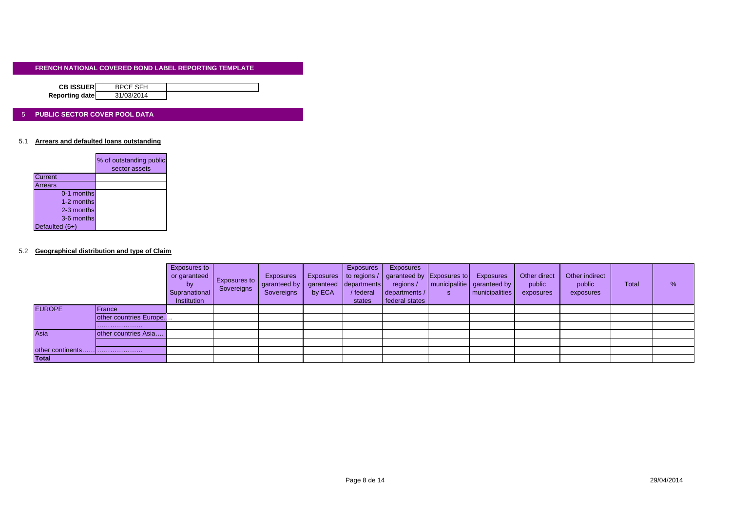| <b>CB ISSUER</b> | <b>BPCE SFH</b> |  |
|------------------|-----------------|--|
|                  |                 |  |
| Reporting date   | 31/03/2014      |  |

#### 5 **PUBLIC SECTOR COVER POOL DATA**

#### 5.1 **Arrears and defaulted loans outstanding**

|                | % of outstanding public<br>sector assets |
|----------------|------------------------------------------|
| Current        |                                          |
| Arrears        |                                          |
| 0-1 months     |                                          |
| 1-2 months     |                                          |
| 2-3 months     |                                          |
| 3-6 months     |                                          |
| Defaulted (6+) |                                          |

#### 5.2 **Geographical distribution and type of Claim**

|                  |                        | Exposures to<br>or garanteed<br><b>by</b><br>Supranational<br>Institution | <b>Exposures to</b><br>Sovereigns | Exposures<br>garanteed by<br>Sovereigns | <b>Exposures</b><br>garanteed<br>by ECA | <b>Exposures</b><br>departments<br>/ federal<br>states | Exposures<br>to regions /   garanteed by Exposures to<br>regions /<br>departments /<br>federal states | S | Exposures<br>  municipalitie   garanteed by<br><b>municipalities</b> | Other direct<br>public<br>exposures | Other indirect<br>public<br>exposures | <b>Total</b> | % |
|------------------|------------------------|---------------------------------------------------------------------------|-----------------------------------|-----------------------------------------|-----------------------------------------|--------------------------------------------------------|-------------------------------------------------------------------------------------------------------|---|----------------------------------------------------------------------|-------------------------------------|---------------------------------------|--------------|---|
| <b>EUROPE</b>    | <b>IFrance</b>         |                                                                           |                                   |                                         |                                         |                                                        |                                                                                                       |   |                                                                      |                                     |                                       |              |   |
|                  | other countries Europe |                                                                           |                                   |                                         |                                         |                                                        |                                                                                                       |   |                                                                      |                                     |                                       |              |   |
|                  |                        |                                                                           |                                   |                                         |                                         |                                                        |                                                                                                       |   |                                                                      |                                     |                                       |              |   |
| Asia             | other countries Asia   |                                                                           |                                   |                                         |                                         |                                                        |                                                                                                       |   |                                                                      |                                     |                                       |              |   |
|                  |                        |                                                                           |                                   |                                         |                                         |                                                        |                                                                                                       |   |                                                                      |                                     |                                       |              |   |
| other continents |                        |                                                                           |                                   |                                         |                                         |                                                        |                                                                                                       |   |                                                                      |                                     |                                       |              |   |
| <b>Total</b>     |                        |                                                                           |                                   |                                         |                                         |                                                        |                                                                                                       |   |                                                                      |                                     |                                       |              |   |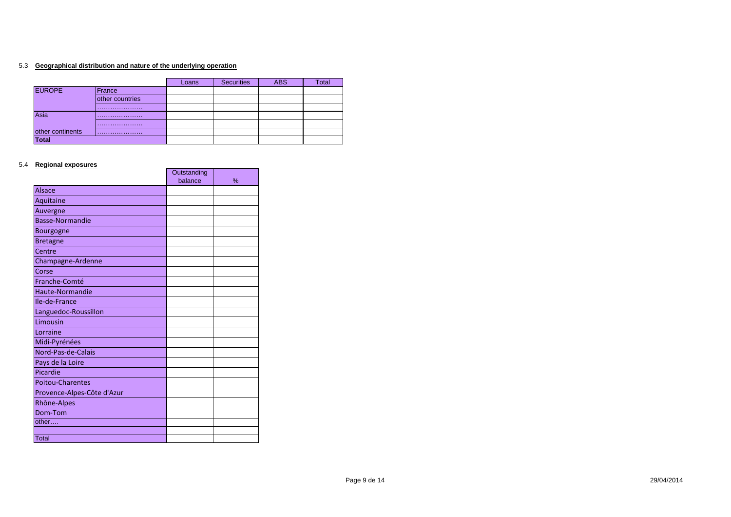#### 5.3 **Geographical distribution and nature of the underlying operation**

|                  |                 | Loans | <b>Securities</b> | <b>ABS</b> | Total |
|------------------|-----------------|-------|-------------------|------------|-------|
| <b>EUROPE</b>    | France          |       |                   |            |       |
|                  | other countries |       |                   |            |       |
|                  |                 |       |                   |            |       |
| Asia             |                 |       |                   |            |       |
|                  |                 |       |                   |            |       |
| other continents |                 |       |                   |            |       |
| <b>Total</b>     |                 |       |                   |            |       |

 $\mathbf{r}$ 

 $\blacksquare$ 

#### 5.4 **Regional exposures**

|                            | Outstanding |   |
|----------------------------|-------------|---|
|                            | balance     | % |
| <b>Alsace</b>              |             |   |
| Aquitaine                  |             |   |
| Auvergne                   |             |   |
| <b>Basse-Normandie</b>     |             |   |
| Bourgogne                  |             |   |
| <b>Bretagne</b>            |             |   |
| Centre                     |             |   |
| Champagne-Ardenne          |             |   |
| Corse                      |             |   |
| Franche-Comté              |             |   |
| Haute-Normandie            |             |   |
| Ile-de-France              |             |   |
| Languedoc-Roussillon       |             |   |
| Limousin                   |             |   |
| Lorraine                   |             |   |
| Midi-Pyrénées              |             |   |
| Nord-Pas-de-Calais         |             |   |
| Pays de la Loire           |             |   |
| Picardie                   |             |   |
| <b>Poitou-Charentes</b>    |             |   |
| Provence-Alpes-Côte d'Azur |             |   |
| Rhône-Alpes                |             |   |
| Dom-Tom                    |             |   |
| other                      |             |   |
|                            |             |   |
| Total                      |             |   |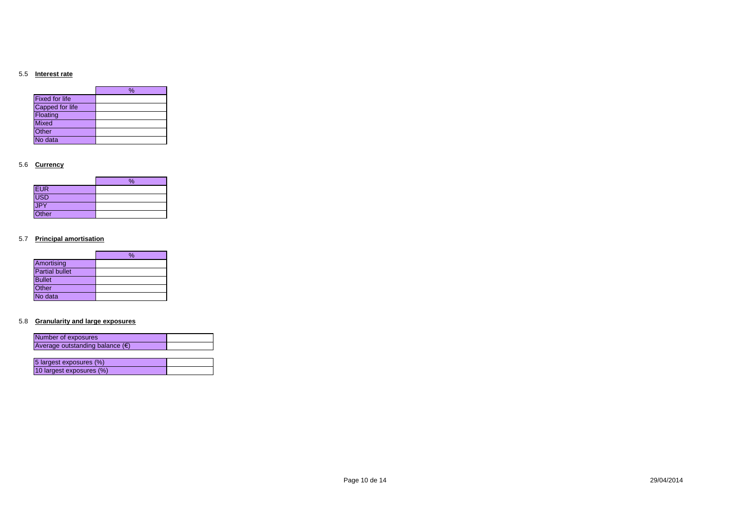#### 5.5 **Interest rate**

|                       | % |
|-----------------------|---|
| <b>Fixed for life</b> |   |
| Capped for life       |   |
| Floating              |   |
| <b>Mixed</b>          |   |
| Other                 |   |
| No data               |   |

#### 5.6 **Currency**

|            | % |
|------------|---|
| <b>EUR</b> |   |
| USD        |   |
| JPY        |   |
| Other      |   |

#### 5.7 **Principal amortisation**

|                       | % |
|-----------------------|---|
| Amortising            |   |
| <b>Partial bullet</b> |   |
| <b>Bullet</b>         |   |
| Other                 |   |
| No data               |   |

#### 5.8 **Granularity and large exposures**

| Number of exposures                      |  |
|------------------------------------------|--|
| Average outstanding balance $(\epsilon)$ |  |
|                                          |  |
| 5 largest exposures (%)                  |  |
|                                          |  |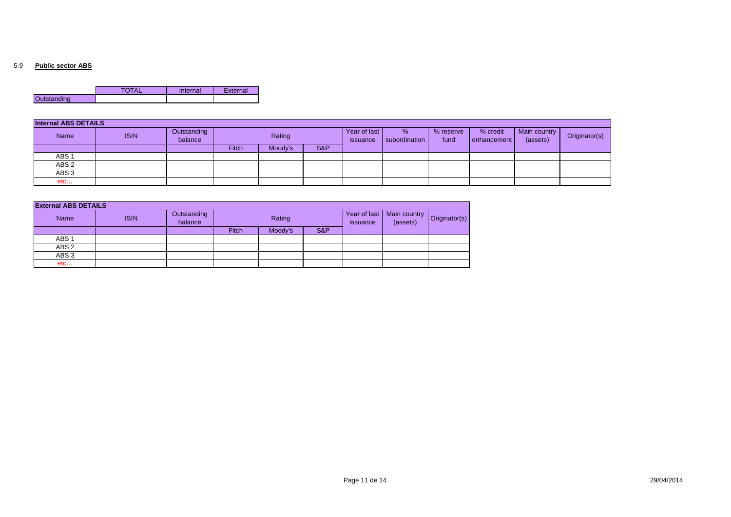#### 5.9 **Public sector ABS**

|                    | – ∼ | Internal | External |
|--------------------|-----|----------|----------|
| <b>Outstanding</b> |     |          |          |

| <b>Internal ABS DETAILS</b> |             |                        |        |         |                          |                    |                   |                           |                          |               |  |
|-----------------------------|-------------|------------------------|--------|---------|--------------------------|--------------------|-------------------|---------------------------|--------------------------|---------------|--|
| Name                        | <b>ISIN</b> | Outstanding<br>balance | Rating |         | Year of last<br>issuance | %<br>subordination | % reserve<br>fund | % credit<br>l enhancement | Main country<br>(assets) | Originator(s) |  |
|                             |             |                        | Fitch  | Moody's | S&P                      |                    |                   |                           |                          |               |  |
| ABS <sub>1</sub>            |             |                        |        |         |                          |                    |                   |                           |                          |               |  |
| ABS <sub>2</sub>            |             |                        |        |         |                          |                    |                   |                           |                          |               |  |
| ABS <sub>3</sub>            |             |                        |        |         |                          |                    |                   |                           |                          |               |  |
| etc                         |             |                        |        |         |                          |                    |                   |                           |                          |               |  |

| <b>External ABS DETAILS</b> |             |                        |        |         |     |                          |                                                      |  |
|-----------------------------|-------------|------------------------|--------|---------|-----|--------------------------|------------------------------------------------------|--|
| <b>Name</b>                 | <b>ISIN</b> | Outstanding<br>balance | Rating |         |     | Year of last<br>issuance | Main country   Originator(s <sup>y</sup><br>(assets) |  |
|                             |             |                        | Fitch  | Moody's | S&P |                          |                                                      |  |
| ABS <sub>1</sub>            |             |                        |        |         |     |                          |                                                      |  |
| ABS <sub>2</sub>            |             |                        |        |         |     |                          |                                                      |  |
| ABS <sub>3</sub>            |             |                        |        |         |     |                          |                                                      |  |
| etc                         |             |                        |        |         |     |                          |                                                      |  |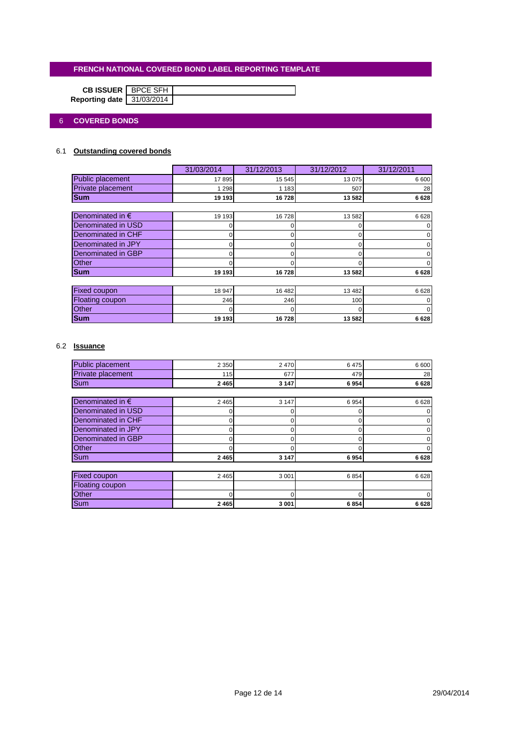|                           | <b>CB ISSUER</b>   BPCE SFH |  |
|---------------------------|-----------------------------|--|
| Reporting date 31/03/2014 |                             |  |

## 6 **COVERED BONDS**

## 6.1 **Outstanding covered bonds**

|                           | 31/03/2014 | 31/12/2013 | 31/12/2012 | 31/12/2011 |
|---------------------------|------------|------------|------------|------------|
| Public placement          | 17 895     | 15 545     | 13 0 75    | 6600       |
| Private placement         | 1 2 9 8    | 1 1 8 3    | 507        | 28         |
| <b>Sum</b>                | 19 193     | 16728      | 13 582     | 6628       |
|                           |            |            |            |            |
| Denominated in $\epsilon$ | 19 193     | 16728      | 13 582     | 6628       |
| Denominated in USD        |            |            | 0          |            |
| Denominated in CHF        |            |            |            |            |
| Denominated in JPY        | 0          | 0          | ი          |            |
| Denominated in GBP        |            |            |            |            |
| Other                     |            |            |            |            |
| <b>Sum</b>                | 19 193     | 16728      | 13 582     | 6628       |
|                           |            |            |            |            |
| Fixed coupon              | 18 947     | 16 482     | 13 4 8 2   | 6628       |
| Floating coupon           | 246        | 246        | 100        |            |
| <b>Other</b>              |            |            | O          |            |
| <b>Sum</b>                | 19 193     | 16728      | 13 582     | 6628       |

## 6.2 **Issuance**

| <b>Public placement</b>   | 2 3 5 0 | 2470     | 6475 | 6 600 |
|---------------------------|---------|----------|------|-------|
| Private placement         | 115     | 677      | 479  | 28    |
| Sum                       | 2 4 6 5 | 3 1 4 7  | 6954 | 6628  |
|                           |         |          |      |       |
| Denominated in $\epsilon$ | 2 4 6 5 | 3 1 4 7  | 6954 | 6628  |
| Denominated in USD        |         | O        | r    |       |
| <b>Denominated in CHF</b> | o       | $\Omega$ | C    |       |
| Denominated in JPY        | ი       | 0        | 0    |       |
| Denominated in GBP        |         | O        | O    |       |
| <b>Other</b>              |         |          |      |       |
| Sum                       | 2 4 6 5 | 3 1 4 7  | 6954 | 6628  |
|                           |         |          |      |       |
| <b>Fixed coupon</b>       | 2 4 6 5 | 3 0 0 1  | 6854 | 6628  |
| <b>Floating coupon</b>    |         |          |      |       |
| Other                     |         |          |      |       |
| <b>Sum</b>                | 2 4 6 5 | 3 0 0 1  | 6854 | 6628  |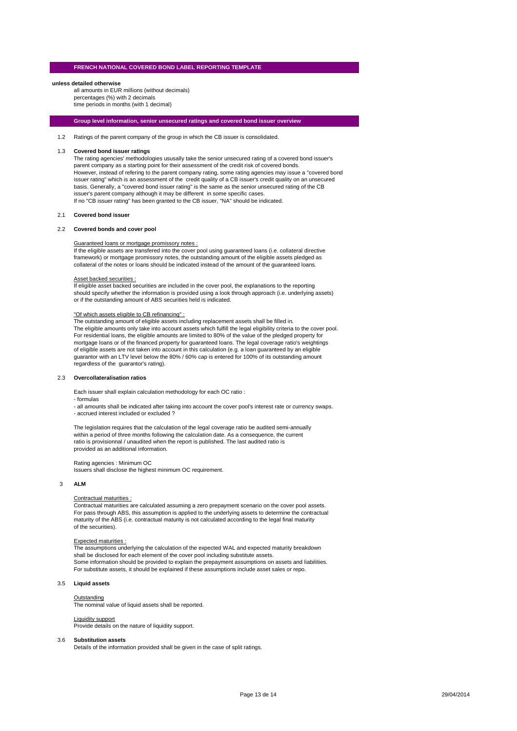#### **unless detailed otherwise**

all amounts in EUR millions (without decimals) percentages (%) with 2 decimals time periods in months (with 1 decimal)

#### **Group level information, senior unsecured ratings and covered bond issuer overview**

1.2 Ratings of the parent company of the group in which the CB issuer is consolidated.

#### 1.3 **Covered bond issuer ratings**

The rating agencies' methodologies ususally take the senior unsecured rating of a covered bond issuer's parent company as a starting point for their assessment of the credit risk of covered bonds. However, instead of refering to the parent company rating, some rating agencies may issue a "covered bond issuer rating" which is an assessment of the credit quality of a CB issuer's credit quality on an unsecured basis. Generally, a "covered bond issuer rating" is the same as the senior unsecured rating of the CB issuer's parent company although it may be different in some specific cases. If no "CB issuer rating" has been granted to the CB issuer, "NA" should be indicated.

#### 2.1 **Covered bond issuer**

#### 2.2 **Covered bonds and cover pool**

#### Guaranteed loans or mortgage promissory notes :

If the eligible assets are transfered into the cover pool using guaranteed loans (i.e. collateral directive framework) or mortgage promissory notes, the outstanding amount of the eligible assets pledged as collateral of the notes or loans should be indicated instead of the amount of the guaranteed loans.

#### Asset backed securities :

If eligible asset backed securities are included in the cover pool, the explanations to the reporting should specify whether the information is provided using a look through approach (i.e. underlying assets) or if the outstanding amount of ABS securities held is indicated.

#### "Of which assets eligible to CB refinancing" :

The outstanding amount of eligible assets including replacement assets shall be filled in. The eligible amounts only take into account assets which fulfill the legal eligibility criteria to the cover pool. For residential loans, the eligible amounts are limited to 80% of the value of the pledged property for mortgage loans or of the financed property for guaranteed loans. The legal coverage ratio's weightings of eligible assets are not taken into account in this calculation (e.g. a loan guaranteed by an eligible guarantor with an LTV level below the 80% / 60% cap is entered for 100% of its outstanding amount regardless of the guarantor's rating).

#### 2.3 **Overcollateralisation ratios**

Each issuer shall explain calculation methodology for each OC ratio :

#### - formulas

- all amounts shall be indicated after taking into account the cover pool's interest rate or currency swaps. - accrued interest included or excluded ?

The legislation requires that the calculation of the legal coverage ratio be audited semi-annually within a period of three months following the calculation date. As a consequence, the current ratio is provisionnal / unaudited when the report is published. The last audited ratio is provided as an additional information.

Rating agencies : Minimum OC Issuers shall disclose the highest minimum OC requirement.

#### 3 **ALM**

#### Contractual maturities :

Contractual maturities are calculated assuming a zero prepayment scenario on the cover pool assets. For pass through ABS, this assumption is applied to the underlying assets to determine the contractual maturity of the ABS (i.e. contractual maturity is not calculated according to the legal final maturity of the securities).

#### Expected maturities :

The assumptions underlying the calculation of the expected WAL and expected maturity breakdown shall be disclosed for each element of the cover pool including substitute assets. Some information should be provided to explain the prepayment assumptions on assets and liabilities. For substitute assets, it should be explained if these assumptions include asset sales or repo.

#### 3.5 **Liquid assets**

#### **Outstanding**

**The nominal value of liquid assets shall be reported.** 

#### Liquidity support

Provide details on the nature of liquidity support.

#### 3.6 **Substitution assets**

Details of the information provided shall be given in the case of split ratings.